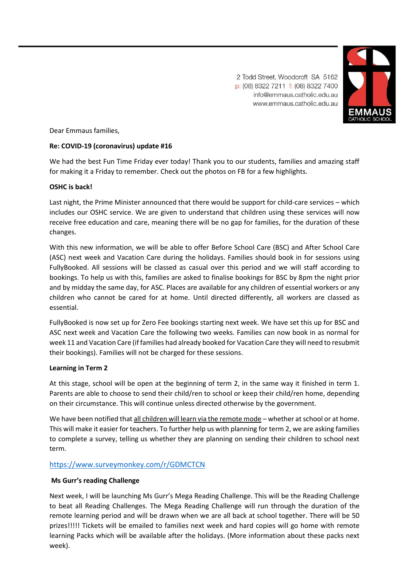2 Todd Street, Woodcroft SA 5162 p: (08) 8322 7211 f: (08) 8322 7400 info@emmaus.catholic.edu.au www.emmaus.catholic.edu.au



Dear Emmaus families,

## **Re: COVID-19 (coronavirus) update #16**

We had the best Fun Time Friday ever today! Thank you to our students, families and amazing staff for making it a Friday to remember. Check out the photos on FB for a few highlights.

### **OSHC is back!**

Last night, the Prime Minister announced that there would be support for child-care services – which includes our OSHC service. We are given to understand that children using these services will now receive free education and care, meaning there will be no gap for families, for the duration of these changes.

With this new information, we will be able to offer Before School Care (BSC) and After School Care (ASC) next week and Vacation Care during the holidays. Families should book in for sessions using FullyBooked. All sessions will be classed as casual over this period and we will staff according to bookings. To help us with this, families are asked to finalise bookings for BSC by 8pm the night prior and by midday the same day, for ASC. Places are available for any children of essential workers or any children who cannot be cared for at home. Until directed differently, all workers are classed as essential.

FullyBooked is now set up for Zero Fee bookings starting next week. We have set this up for BSC and ASC next week and Vacation Care the following two weeks. Families can now book in as normal for week 11 and Vacation Care (if families had already booked for Vacation Care they will need to resubmit their bookings). Families will not be charged for these sessions.

### **Learning in Term 2**

At this stage, school will be open at the beginning of term 2, in the same way it finished in term 1. Parents are able to choose to send their child/ren to school or keep their child/ren home, depending on their circumstance. This will continue unless directed otherwise by the government.

We have been notified that all children will learn via the remote mode - whether at school or at home. This will make it easier for teachers. To further help us with planning for term 2, we are asking families to complete a survey, telling us whether they are planning on sending their children to school next term.

# [https://www.surveymonkey.com/r/GDMCTCN](https://aus01.safelinks.protection.outlook.com/?url=https%3A%2F%2Fwww.surveymonkey.com%2Fr%2FGDMCTCN&data=02%7C01%7Ccgurr%40emmaus.catholic.edu.au%7C13d602ec82d24c7b447e08d7d7942da0%7Cdc327f88e1e343e29be0f27a91ce2ff6%7C0%7C0%7C637214903731312268&sdata=KmcH8b%2BL%2FLOVBYiqdjOSujhehg%2FQu2ByIcgyNiSqqKY%3D&reserved=0)

### **Ms Gurr's reading Challenge**

Next week, I will be launching Ms Gurr's Mega Reading Challenge. This will be the Reading Challenge to beat all Reading Challenges. The Mega Reading Challenge will run through the duration of the remote learning period and will be drawn when we are all back at school together. There will be 50 prizes!!!!! Tickets will be emailed to families next week and hard copies will go home with remote learning Packs which will be available after the holidays. (More information about these packs next week).